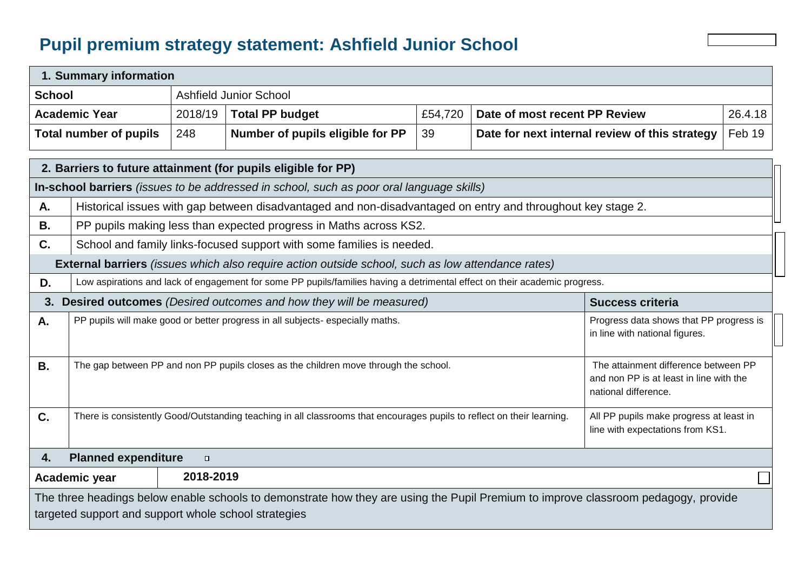## **Pupil premium strategy statement: Ashfield Junior School**

|               | 1. Summary information                                                                                                                                                                                |                                                                                                                                                                                                 |                                                                                                   |         |                               |                                                |         |
|---------------|-------------------------------------------------------------------------------------------------------------------------------------------------------------------------------------------------------|-------------------------------------------------------------------------------------------------------------------------------------------------------------------------------------------------|---------------------------------------------------------------------------------------------------|---------|-------------------------------|------------------------------------------------|---------|
| <b>School</b> |                                                                                                                                                                                                       |                                                                                                                                                                                                 | <b>Ashfield Junior School</b>                                                                     |         |                               |                                                |         |
|               | <b>Academic Year</b>                                                                                                                                                                                  | 2018/19                                                                                                                                                                                         | <b>Total PP budget</b>                                                                            | £54,720 | Date of most recent PP Review |                                                | 26.4.18 |
|               | <b>Total number of pupils</b>                                                                                                                                                                         | 248                                                                                                                                                                                             | Number of pupils eligible for PP                                                                  | 39      |                               | Date for next internal review of this strategy | Feb 19  |
|               |                                                                                                                                                                                                       |                                                                                                                                                                                                 | 2. Barriers to future attainment (for pupils eligible for PP)                                     |         |                               |                                                |         |
|               |                                                                                                                                                                                                       |                                                                                                                                                                                                 | In-school barriers (issues to be addressed in school, such as poor oral language skills)          |         |                               |                                                |         |
| Α.            | Historical issues with gap between disadvantaged and non-disadvantaged on entry and throughout key stage 2.                                                                                           |                                                                                                                                                                                                 |                                                                                                   |         |                               |                                                |         |
| <b>B.</b>     |                                                                                                                                                                                                       | PP pupils making less than expected progress in Maths across KS2.                                                                                                                               |                                                                                                   |         |                               |                                                |         |
| C.            |                                                                                                                                                                                                       |                                                                                                                                                                                                 | School and family links-focused support with some families is needed.                             |         |                               |                                                |         |
|               |                                                                                                                                                                                                       |                                                                                                                                                                                                 | External barriers (issues which also require action outside school, such as low attendance rates) |         |                               |                                                |         |
| D.            | Low aspirations and lack of engagement for some PP pupils/families having a detrimental effect on their academic progress.                                                                            |                                                                                                                                                                                                 |                                                                                                   |         |                               |                                                |         |
| 3.            |                                                                                                                                                                                                       |                                                                                                                                                                                                 | Desired outcomes (Desired outcomes and how they will be measured)                                 |         |                               | <b>Success criteria</b>                        |         |
| A.            | PP pupils will make good or better progress in all subjects- especially maths.<br>Progress data shows that PP progress is<br>in line with national figures.                                           |                                                                                                                                                                                                 |                                                                                                   |         |                               |                                                |         |
| <b>B.</b>     |                                                                                                                                                                                                       | The gap between PP and non PP pupils closes as the children move through the school.<br>The attainment difference between PP<br>and non PP is at least in line with the<br>national difference. |                                                                                                   |         |                               |                                                |         |
| C.            | There is consistently Good/Outstanding teaching in all classrooms that encourages pupils to reflect on their learning.<br>All PP pupils make progress at least in<br>line with expectations from KS1. |                                                                                                                                                                                                 |                                                                                                   |         |                               |                                                |         |
| 4.            | <b>Planned expenditure</b>                                                                                                                                                                            | $\Box$                                                                                                                                                                                          |                                                                                                   |         |                               |                                                |         |
|               | Academic year                                                                                                                                                                                         | 2018-2019                                                                                                                                                                                       |                                                                                                   |         |                               |                                                |         |

.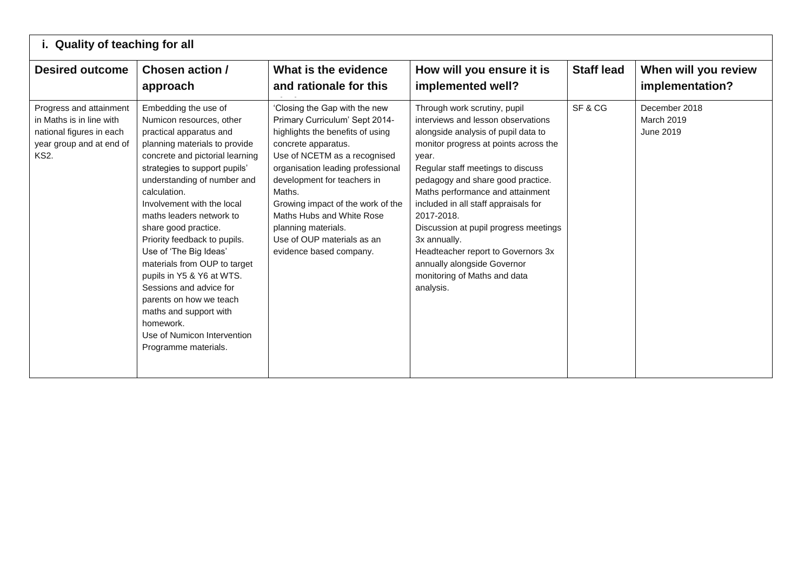| i. Quality of teaching for all                                                                                             |                                                                                                                                                                                                                                                                                                                                                                                                                                                                                                                                                                                              |                                                                                                                                                                                                                                                                                                                                                                                            |                                                                                                                                                                                                                                                                                                                                                                                                                                                                                                            |                   |                                          |  |
|----------------------------------------------------------------------------------------------------------------------------|----------------------------------------------------------------------------------------------------------------------------------------------------------------------------------------------------------------------------------------------------------------------------------------------------------------------------------------------------------------------------------------------------------------------------------------------------------------------------------------------------------------------------------------------------------------------------------------------|--------------------------------------------------------------------------------------------------------------------------------------------------------------------------------------------------------------------------------------------------------------------------------------------------------------------------------------------------------------------------------------------|------------------------------------------------------------------------------------------------------------------------------------------------------------------------------------------------------------------------------------------------------------------------------------------------------------------------------------------------------------------------------------------------------------------------------------------------------------------------------------------------------------|-------------------|------------------------------------------|--|
| <b>Desired outcome</b>                                                                                                     | Chosen action /<br>approach                                                                                                                                                                                                                                                                                                                                                                                                                                                                                                                                                                  | What is the evidence<br>and rationale for this                                                                                                                                                                                                                                                                                                                                             | How will you ensure it is<br>implemented well?                                                                                                                                                                                                                                                                                                                                                                                                                                                             | <b>Staff lead</b> | When will you review<br>implementation?  |  |
| Progress and attainment<br>in Maths is in line with<br>national figures in each<br>year group and at end of<br><b>KS2.</b> | Embedding the use of<br>Numicon resources, other<br>practical apparatus and<br>planning materials to provide<br>concrete and pictorial learning<br>strategies to support pupils'<br>understanding of number and<br>calculation.<br>Involvement with the local<br>maths leaders network to<br>share good practice.<br>Priority feedback to pupils.<br>Use of 'The Big Ideas'<br>materials from OUP to target<br>pupils in Y5 & Y6 at WTS.<br>Sessions and advice for<br>parents on how we teach<br>maths and support with<br>homework.<br>Use of Numicon Intervention<br>Programme materials. | 'Closing the Gap with the new<br>Primary Curriculum' Sept 2014-<br>highlights the benefits of using<br>concrete apparatus.<br>Use of NCETM as a recognised<br>organisation leading professional<br>development for teachers in<br>Maths.<br>Growing impact of the work of the<br>Maths Hubs and White Rose<br>planning materials.<br>Use of OUP materials as an<br>evidence based company. | Through work scrutiny, pupil<br>interviews and lesson observations<br>alongside analysis of pupil data to<br>monitor progress at points across the<br>year.<br>Regular staff meetings to discuss<br>pedagogy and share good practice.<br>Maths performance and attainment<br>included in all staff appraisals for<br>2017-2018.<br>Discussion at pupil progress meetings<br>3x annually.<br>Headteacher report to Governors 3x<br>annually alongside Governor<br>monitoring of Maths and data<br>analysis. | SF&CG             | December 2018<br>March 2019<br>June 2019 |  |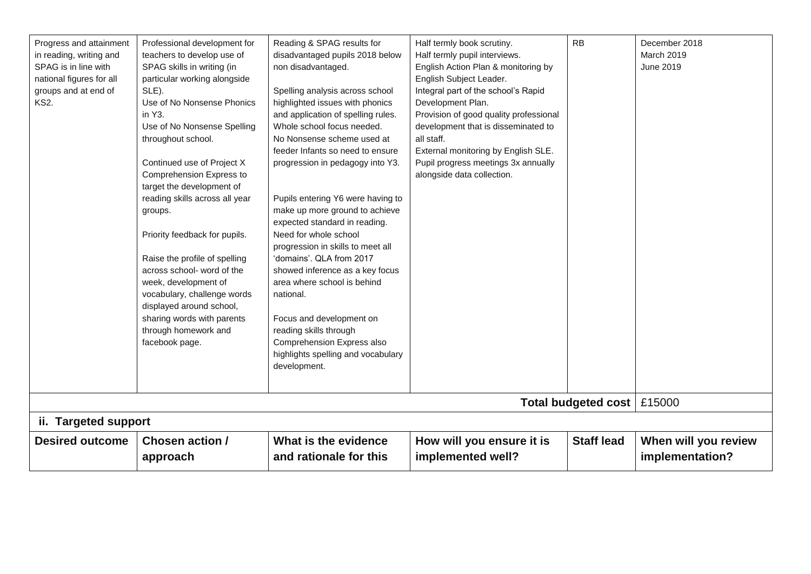| Progress and attainment<br>in reading, writing and<br>SPAG is in line with | Professional development for<br>teachers to develop use of<br>SPAG skills in writing (in | Reading & SPAG results for<br>disadvantaged pupils 2018 below<br>non disadvantaged. | Half termly book scrutiny.<br>Half termly pupil interviews.<br>English Action Plan & monitoring by | <b>RB</b>                  | December 2018<br>March 2019<br>June 2019 |
|----------------------------------------------------------------------------|------------------------------------------------------------------------------------------|-------------------------------------------------------------------------------------|----------------------------------------------------------------------------------------------------|----------------------------|------------------------------------------|
| national figures for all                                                   | particular working alongside                                                             |                                                                                     | English Subject Leader.                                                                            |                            |                                          |
| groups and at end of                                                       | SLE).                                                                                    | Spelling analysis across school                                                     | Integral part of the school's Rapid                                                                |                            |                                          |
| <b>KS2.</b>                                                                | Use of No Nonsense Phonics                                                               | highlighted issues with phonics                                                     | Development Plan.                                                                                  |                            |                                          |
|                                                                            | in Y3.                                                                                   | and application of spelling rules.                                                  | Provision of good quality professional                                                             |                            |                                          |
|                                                                            | Use of No Nonsense Spelling                                                              | Whole school focus needed.<br>No Nonsense scheme used at                            | development that is disseminated to<br>all staff.                                                  |                            |                                          |
|                                                                            | throughout school.                                                                       | feeder Infants so need to ensure                                                    |                                                                                                    |                            |                                          |
|                                                                            |                                                                                          |                                                                                     | External monitoring by English SLE.<br>Pupil progress meetings 3x annually                         |                            |                                          |
|                                                                            | Continued use of Project X<br>Comprehension Express to                                   | progression in pedagogy into Y3.                                                    | alongside data collection.                                                                         |                            |                                          |
|                                                                            | target the development of                                                                |                                                                                     |                                                                                                    |                            |                                          |
|                                                                            | reading skills across all year                                                           | Pupils entering Y6 were having to                                                   |                                                                                                    |                            |                                          |
|                                                                            | groups.                                                                                  | make up more ground to achieve                                                      |                                                                                                    |                            |                                          |
|                                                                            |                                                                                          | expected standard in reading.                                                       |                                                                                                    |                            |                                          |
|                                                                            | Priority feedback for pupils.                                                            | Need for whole school                                                               |                                                                                                    |                            |                                          |
|                                                                            |                                                                                          | progression in skills to meet all                                                   |                                                                                                    |                            |                                          |
|                                                                            | Raise the profile of spelling                                                            | 'domains'. QLA from 2017                                                            |                                                                                                    |                            |                                          |
|                                                                            | across school- word of the                                                               | showed inference as a key focus                                                     |                                                                                                    |                            |                                          |
|                                                                            | week, development of                                                                     | area where school is behind                                                         |                                                                                                    |                            |                                          |
|                                                                            | vocabulary, challenge words                                                              | national.                                                                           |                                                                                                    |                            |                                          |
|                                                                            | displayed around school,                                                                 |                                                                                     |                                                                                                    |                            |                                          |
|                                                                            | sharing words with parents                                                               | Focus and development on                                                            |                                                                                                    |                            |                                          |
|                                                                            | through homework and                                                                     | reading skills through                                                              |                                                                                                    |                            |                                          |
|                                                                            | facebook page.                                                                           | Comprehension Express also                                                          |                                                                                                    |                            |                                          |
|                                                                            |                                                                                          | highlights spelling and vocabulary                                                  |                                                                                                    |                            |                                          |
|                                                                            |                                                                                          | development.                                                                        |                                                                                                    |                            |                                          |
|                                                                            |                                                                                          |                                                                                     |                                                                                                    |                            |                                          |
|                                                                            |                                                                                          |                                                                                     |                                                                                                    | <b>Total budgeted cost</b> | £15000                                   |
| ii. Targeted support                                                       |                                                                                          |                                                                                     |                                                                                                    |                            |                                          |
| <b>Desired outcome</b>                                                     | <b>Chosen action /</b>                                                                   | What is the evidence                                                                | How will you ensure it is                                                                          | <b>Staff lead</b>          | When will you review                     |
|                                                                            | approach                                                                                 | and rationale for this                                                              | implemented well?                                                                                  |                            | implementation?                          |
|                                                                            |                                                                                          |                                                                                     |                                                                                                    |                            |                                          |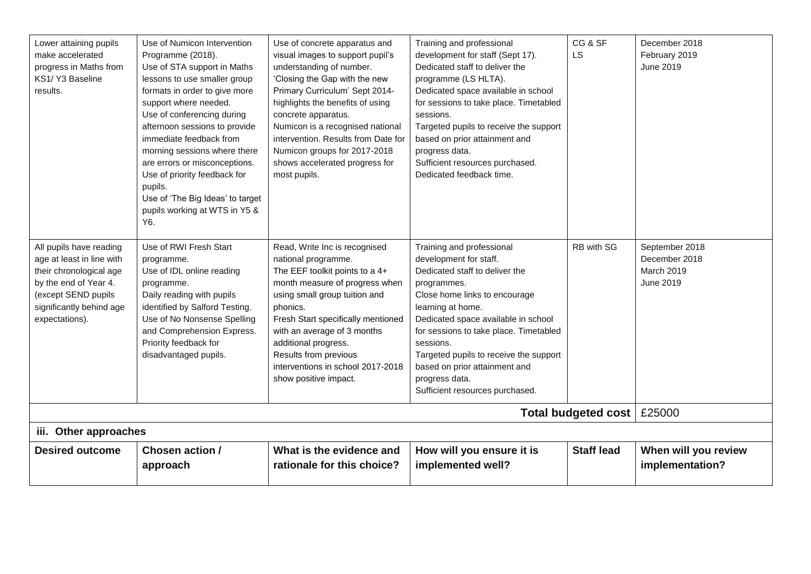| Lower attaining pupils<br>make accelerated<br>progress in Maths from<br>KS1/Y3 Baseline<br>results.                                                                           | Use of Numicon Intervention<br>Programme (2018).<br>Use of STA support in Maths<br>lessons to use smaller group<br>formats in order to give more<br>support where needed.<br>Use of conferencing during<br>afternoon sessions to provide<br>immediate feedback from<br>morning sessions where there<br>are errors or misconceptions.<br>Use of priority feedback for<br>pupils.<br>Use of 'The Big Ideas' to target | Use of concrete apparatus and<br>visual images to support pupil's<br>understanding of number.<br>'Closing the Gap with the new<br>Primary Curriculum' Sept 2014-<br>highlights the benefits of using<br>concrete apparatus.<br>Numicon is a recognised national<br>intervention. Results from Date for<br>Numicon groups for 2017-2018<br>shows accelerated progress for<br>most pupils. | Training and professional<br>development for staff (Sept 17).<br>Dedicated staff to deliver the<br>programme (LS HLTA).<br>Dedicated space available in school<br>for sessions to take place. Timetabled<br>sessions.<br>Targeted pupils to receive the support<br>based on prior attainment and<br>progress data.<br>Sufficient resources purchased.<br>Dedicated feedback time.        | CG & SF<br>LS              | December 2018<br>February 2019<br>June 2019                |
|-------------------------------------------------------------------------------------------------------------------------------------------------------------------------------|---------------------------------------------------------------------------------------------------------------------------------------------------------------------------------------------------------------------------------------------------------------------------------------------------------------------------------------------------------------------------------------------------------------------|------------------------------------------------------------------------------------------------------------------------------------------------------------------------------------------------------------------------------------------------------------------------------------------------------------------------------------------------------------------------------------------|------------------------------------------------------------------------------------------------------------------------------------------------------------------------------------------------------------------------------------------------------------------------------------------------------------------------------------------------------------------------------------------|----------------------------|------------------------------------------------------------|
|                                                                                                                                                                               | pupils working at WTS in Y5 &<br>Y6.                                                                                                                                                                                                                                                                                                                                                                                |                                                                                                                                                                                                                                                                                                                                                                                          |                                                                                                                                                                                                                                                                                                                                                                                          |                            |                                                            |
| All pupils have reading<br>age at least in line with<br>their chronological age<br>by the end of Year 4.<br>(except SEND pupils<br>significantly behind age<br>expectations). | Use of RWI Fresh Start<br>programme.<br>Use of IDL online reading<br>programme.<br>Daily reading with pupils<br>identified by Salford Testing.<br>Use of No Nonsense Spelling<br>and Comprehension Express.<br>Priority feedback for<br>disadvantaged pupils.                                                                                                                                                       | Read, Write Inc is recognised<br>national programme.<br>The EEF toolkit points to a 4+<br>month measure of progress when<br>using small group tuition and<br>phonics.<br>Fresh Start specifically mentioned<br>with an average of 3 months<br>additional progress.<br>Results from previous<br>interventions in school 2017-2018<br>show positive impact.                                | Training and professional<br>development for staff.<br>Dedicated staff to deliver the<br>programmes.<br>Close home links to encourage<br>learning at home.<br>Dedicated space available in school<br>for sessions to take place. Timetabled<br>sessions.<br>Targeted pupils to receive the support<br>based on prior attainment and<br>progress data.<br>Sufficient resources purchased. | RB with SG                 | September 2018<br>December 2018<br>March 2019<br>June 2019 |
|                                                                                                                                                                               |                                                                                                                                                                                                                                                                                                                                                                                                                     |                                                                                                                                                                                                                                                                                                                                                                                          |                                                                                                                                                                                                                                                                                                                                                                                          | <b>Total budgeted cost</b> | £25000                                                     |
| iii. Other approaches                                                                                                                                                         |                                                                                                                                                                                                                                                                                                                                                                                                                     |                                                                                                                                                                                                                                                                                                                                                                                          |                                                                                                                                                                                                                                                                                                                                                                                          |                            |                                                            |
| <b>Desired outcome</b>                                                                                                                                                        | Chosen action /<br>approach                                                                                                                                                                                                                                                                                                                                                                                         | What is the evidence and<br>rationale for this choice?                                                                                                                                                                                                                                                                                                                                   | How will you ensure it is<br>implemented well?                                                                                                                                                                                                                                                                                                                                           | <b>Staff lead</b>          | When will you review<br>implementation?                    |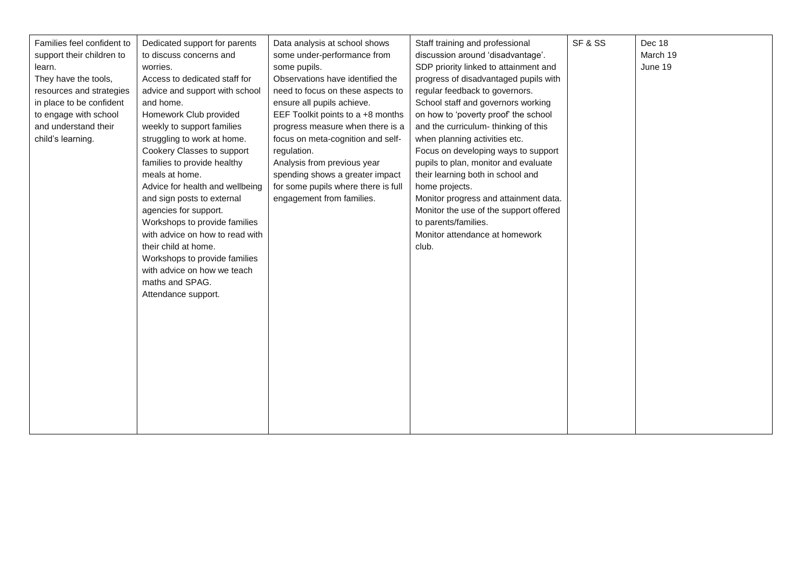| Families feel confident to | Dedicated support for parents   | Data analysis at school shows       | Staff training and professional        | SF & SS | Dec 18   |
|----------------------------|---------------------------------|-------------------------------------|----------------------------------------|---------|----------|
| support their children to  | to discuss concerns and         | some under-performance from         | discussion around 'disadvantage'.      |         | March 19 |
| learn.                     | worries.                        | some pupils.                        | SDP priority linked to attainment and  |         | June 19  |
| They have the tools,       | Access to dedicated staff for   | Observations have identified the    | progress of disadvantaged pupils with  |         |          |
| resources and strategies   | advice and support with school  | need to focus on these aspects to   | regular feedback to governors.         |         |          |
| in place to be confident   | and home.                       | ensure all pupils achieve.          | School staff and governors working     |         |          |
| to engage with school      | Homework Club provided          | EEF Toolkit points to a +8 months   | on how to 'poverty proof' the school   |         |          |
| and understand their       | weekly to support families      | progress measure when there is a    | and the curriculum-thinking of this    |         |          |
| child's learning.          | struggling to work at home.     | focus on meta-cognition and self-   | when planning activities etc.          |         |          |
|                            | Cookery Classes to support      | regulation.                         | Focus on developing ways to support    |         |          |
|                            | families to provide healthy     | Analysis from previous year         | pupils to plan, monitor and evaluate   |         |          |
|                            | meals at home.                  | spending shows a greater impact     | their learning both in school and      |         |          |
|                            | Advice for health and wellbeing | for some pupils where there is full | home projects.                         |         |          |
|                            | and sign posts to external      | engagement from families.           | Monitor progress and attainment data.  |         |          |
|                            | agencies for support.           |                                     | Monitor the use of the support offered |         |          |
|                            | Workshops to provide families   |                                     | to parents/families.                   |         |          |
|                            | with advice on how to read with |                                     | Monitor attendance at homework         |         |          |
|                            | their child at home.            |                                     | club.                                  |         |          |
|                            | Workshops to provide families   |                                     |                                        |         |          |
|                            | with advice on how we teach     |                                     |                                        |         |          |
|                            | maths and SPAG.                 |                                     |                                        |         |          |
|                            | Attendance support.             |                                     |                                        |         |          |
|                            |                                 |                                     |                                        |         |          |
|                            |                                 |                                     |                                        |         |          |
|                            |                                 |                                     |                                        |         |          |
|                            |                                 |                                     |                                        |         |          |
|                            |                                 |                                     |                                        |         |          |
|                            |                                 |                                     |                                        |         |          |
|                            |                                 |                                     |                                        |         |          |
|                            |                                 |                                     |                                        |         |          |
|                            |                                 |                                     |                                        |         |          |
|                            |                                 |                                     |                                        |         |          |
|                            |                                 |                                     |                                        |         |          |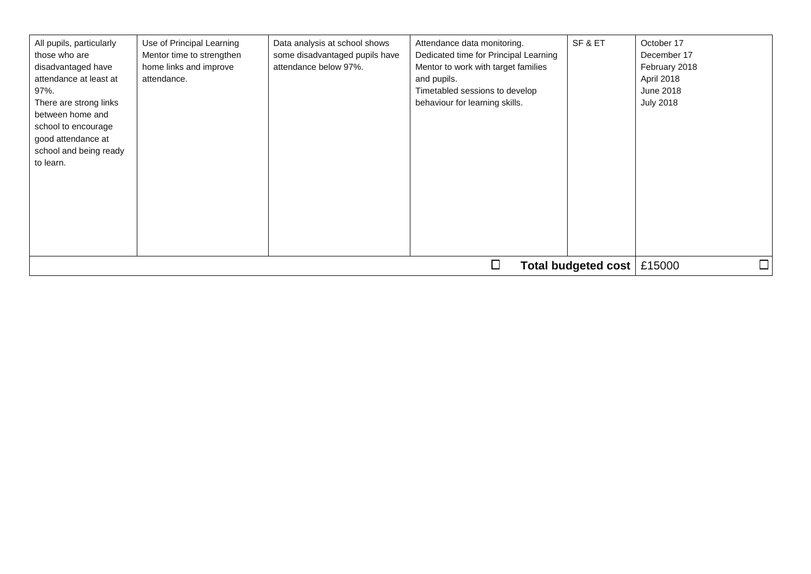| All pupils, particularly<br>those who are<br>disadvantaged have<br>attendance at least at<br>97%.<br>There are strong links<br>between home and<br>school to encourage<br>good attendance at<br>school and being ready<br>to learn. | Use of Principal Learning<br>Mentor time to strengthen<br>home links and improve<br>attendance. | Data analysis at school shows<br>some disadvantaged pupils have<br>attendance below 97%. | Attendance data monitoring.<br>Dedicated time for Principal Learning<br>Mentor to work with target families<br>and pupils.<br>Timetabled sessions to develop<br>behaviour for learning skills. | SF&ET | October 17<br>December 17<br>February 2018<br>April 2018<br><b>June 2018</b><br><b>July 2018</b> |  |  |
|-------------------------------------------------------------------------------------------------------------------------------------------------------------------------------------------------------------------------------------|-------------------------------------------------------------------------------------------------|------------------------------------------------------------------------------------------|------------------------------------------------------------------------------------------------------------------------------------------------------------------------------------------------|-------|--------------------------------------------------------------------------------------------------|--|--|
|                                                                                                                                                                                                                                     |                                                                                                 |                                                                                          |                                                                                                                                                                                                |       |                                                                                                  |  |  |
|                                                                                                                                                                                                                                     | $\Box$<br>Total budgeted cost<br>£15000                                                         |                                                                                          |                                                                                                                                                                                                |       |                                                                                                  |  |  |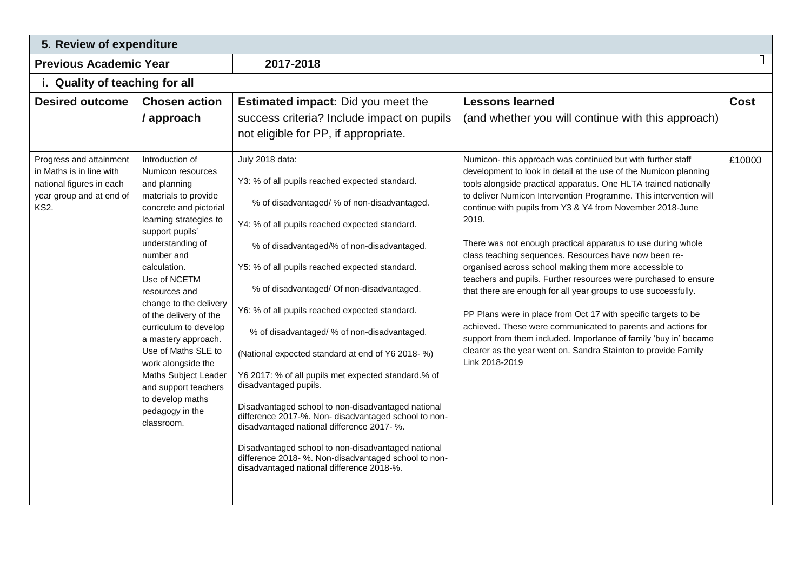| 5. Review of expenditure                                                                        |                                                                                                                                                                                                                                                                                                                                                                                                                                                                                              |                                                                                                                                                                                                                                                                                                                                                                                                                                                                                                                                                                                                                                                                                                                                                                                                                                                          |                                                                                                                                                                                                                                                                                                                                                                                                                                                                                                                                                                                                                                                                                                                                                                                                                                                                                                   |             |  |  |  |
|-------------------------------------------------------------------------------------------------|----------------------------------------------------------------------------------------------------------------------------------------------------------------------------------------------------------------------------------------------------------------------------------------------------------------------------------------------------------------------------------------------------------------------------------------------------------------------------------------------|----------------------------------------------------------------------------------------------------------------------------------------------------------------------------------------------------------------------------------------------------------------------------------------------------------------------------------------------------------------------------------------------------------------------------------------------------------------------------------------------------------------------------------------------------------------------------------------------------------------------------------------------------------------------------------------------------------------------------------------------------------------------------------------------------------------------------------------------------------|---------------------------------------------------------------------------------------------------------------------------------------------------------------------------------------------------------------------------------------------------------------------------------------------------------------------------------------------------------------------------------------------------------------------------------------------------------------------------------------------------------------------------------------------------------------------------------------------------------------------------------------------------------------------------------------------------------------------------------------------------------------------------------------------------------------------------------------------------------------------------------------------------|-------------|--|--|--|
| <b>Previous Academic Year</b>                                                                   |                                                                                                                                                                                                                                                                                                                                                                                                                                                                                              | 2017-2018                                                                                                                                                                                                                                                                                                                                                                                                                                                                                                                                                                                                                                                                                                                                                                                                                                                |                                                                                                                                                                                                                                                                                                                                                                                                                                                                                                                                                                                                                                                                                                                                                                                                                                                                                                   | П           |  |  |  |
| i. Quality of teaching for all                                                                  |                                                                                                                                                                                                                                                                                                                                                                                                                                                                                              |                                                                                                                                                                                                                                                                                                                                                                                                                                                                                                                                                                                                                                                                                                                                                                                                                                                          |                                                                                                                                                                                                                                                                                                                                                                                                                                                                                                                                                                                                                                                                                                                                                                                                                                                                                                   |             |  |  |  |
| <b>Desired outcome</b><br>Progress and attainment                                               | <b>Chosen action</b><br>/ approach                                                                                                                                                                                                                                                                                                                                                                                                                                                           | <b>Estimated impact:</b> Did you meet the<br>success criteria? Include impact on pupils<br>not eligible for PP, if appropriate.<br>July 2018 data:                                                                                                                                                                                                                                                                                                                                                                                                                                                                                                                                                                                                                                                                                                       | <b>Lessons learned</b><br>(and whether you will continue with this approach)<br>Numicon- this approach was continued but with further staff                                                                                                                                                                                                                                                                                                                                                                                                                                                                                                                                                                                                                                                                                                                                                       | <b>Cost</b> |  |  |  |
| in Maths is in line with<br>national figures in each<br>year group and at end of<br><b>KS2.</b> | Introduction of<br>Numicon resources<br>and planning<br>materials to provide<br>concrete and pictorial<br>learning strategies to<br>support pupils'<br>understanding of<br>number and<br>calculation.<br>Use of NCETM<br>resources and<br>change to the delivery<br>of the delivery of the<br>curriculum to develop<br>a mastery approach.<br>Use of Maths SLE to<br>work alongside the<br>Maths Subject Leader<br>and support teachers<br>to develop maths<br>pedagogy in the<br>classroom. | Y3: % of all pupils reached expected standard.<br>% of disadvantaged/ % of non-disadvantaged.<br>Y4: % of all pupils reached expected standard.<br>% of disadvantaged/% of non-disadvantaged.<br>Y5: % of all pupils reached expected standard.<br>% of disadvantaged/ Of non-disadvantaged.<br>Y6: % of all pupils reached expected standard.<br>% of disadvantaged/ % of non-disadvantaged.<br>(National expected standard at end of Y6 2018-%)<br>Y6 2017: % of all pupils met expected standard.% of<br>disadvantaged pupils.<br>Disadvantaged school to non-disadvantaged national<br>difference 2017-%. Non- disadvantaged school to non-<br>disadvantaged national difference 2017- %.<br>Disadvantaged school to non-disadvantaged national<br>difference 2018- %. Non-disadvantaged school to non-<br>disadvantaged national difference 2018-%. | development to look in detail at the use of the Numicon planning<br>tools alongside practical apparatus. One HLTA trained nationally<br>to deliver Numicon Intervention Programme. This intervention will<br>continue with pupils from Y3 & Y4 from November 2018-June<br>2019.<br>There was not enough practical apparatus to use during whole<br>class teaching sequences. Resources have now been re-<br>organised across school making them more accessible to<br>teachers and pupils. Further resources were purchased to ensure<br>that there are enough for all year groups to use successfully.<br>PP Plans were in place from Oct 17 with specific targets to be<br>achieved. These were communicated to parents and actions for<br>support from them included. Importance of family 'buy in' became<br>clearer as the year went on. Sandra Stainton to provide Family<br>Link 2018-2019 | £10000      |  |  |  |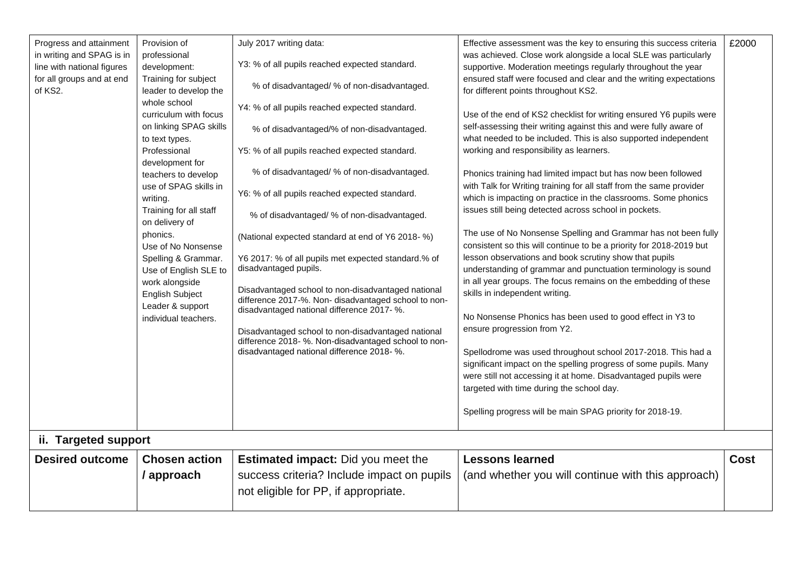| Progress and attainment<br>in writing and SPAG is in<br>line with national figures<br>for all groups and at end<br>of KS2. | Provision of<br>professional<br>development:<br>Training for subject<br>leader to develop the<br>whole school<br>curriculum with focus<br>on linking SPAG skills<br>to text types.<br>Professional<br>development for<br>teachers to develop<br>use of SPAG skills in<br>writing.<br>Training for all staff<br>on delivery of<br>phonics.<br>Use of No Nonsense<br>Spelling & Grammar.<br>Use of English SLE to<br>work alongside<br><b>English Subject</b><br>Leader & support<br>individual teachers. | July 2017 writing data:<br>Y3: % of all pupils reached expected standard.<br>% of disadvantaged/ % of non-disadvantaged.<br>Y4: % of all pupils reached expected standard.<br>% of disadvantaged/% of non-disadvantaged.<br>Y5: % of all pupils reached expected standard.<br>% of disadvantaged/ % of non-disadvantaged.<br>Y6: % of all pupils reached expected standard.<br>% of disadvantaged/ % of non-disadvantaged.<br>(National expected standard at end of Y6 2018- %)<br>Y6 2017: % of all pupils met expected standard.% of<br>disadvantaged pupils.<br>Disadvantaged school to non-disadvantaged national<br>difference 2017-%. Non- disadvantaged school to non-<br>disadvantaged national difference 2017- %.<br>Disadvantaged school to non-disadvantaged national<br>difference 2018- %. Non-disadvantaged school to non-<br>disadvantaged national difference 2018- %. | Effective assessment was the key to ensuring this success criteria<br>was achieved. Close work alongside a local SLE was particularly<br>supportive. Moderation meetings regularly throughout the year<br>ensured staff were focused and clear and the writing expectations<br>for different points throughout KS2.<br>Use of the end of KS2 checklist for writing ensured Y6 pupils were<br>self-assessing their writing against this and were fully aware of<br>what needed to be included. This is also supported independent<br>working and responsibility as learners.<br>Phonics training had limited impact but has now been followed<br>with Talk for Writing training for all staff from the same provider<br>which is impacting on practice in the classrooms. Some phonics<br>issues still being detected across school in pockets.<br>The use of No Nonsense Spelling and Grammar has not been fully<br>consistent so this will continue to be a priority for 2018-2019 but<br>lesson observations and book scrutiny show that pupils<br>understanding of grammar and punctuation terminology is sound<br>in all year groups. The focus remains on the embedding of these<br>skills in independent writing.<br>No Nonsense Phonics has been used to good effect in Y3 to<br>ensure progression from Y2.<br>Spellodrome was used throughout school 2017-2018. This had a<br>significant impact on the spelling progress of some pupils. Many<br>were still not accessing it at home. Disadvantaged pupils were<br>targeted with time during the school day.<br>Spelling progress will be main SPAG priority for 2018-19. | £2000       |
|----------------------------------------------------------------------------------------------------------------------------|---------------------------------------------------------------------------------------------------------------------------------------------------------------------------------------------------------------------------------------------------------------------------------------------------------------------------------------------------------------------------------------------------------------------------------------------------------------------------------------------------------|-----------------------------------------------------------------------------------------------------------------------------------------------------------------------------------------------------------------------------------------------------------------------------------------------------------------------------------------------------------------------------------------------------------------------------------------------------------------------------------------------------------------------------------------------------------------------------------------------------------------------------------------------------------------------------------------------------------------------------------------------------------------------------------------------------------------------------------------------------------------------------------------|-------------------------------------------------------------------------------------------------------------------------------------------------------------------------------------------------------------------------------------------------------------------------------------------------------------------------------------------------------------------------------------------------------------------------------------------------------------------------------------------------------------------------------------------------------------------------------------------------------------------------------------------------------------------------------------------------------------------------------------------------------------------------------------------------------------------------------------------------------------------------------------------------------------------------------------------------------------------------------------------------------------------------------------------------------------------------------------------------------------------------------------------------------------------------------------------------------------------------------------------------------------------------------------------------------------------------------------------------------------------------------------------------------------------------------------------------------------------------------------------------------------------------------------------------------------------------------------------------------------------------------------|-------------|
| ii. Targeted support<br><b>Desired outcome</b>                                                                             | <b>Chosen action</b>                                                                                                                                                                                                                                                                                                                                                                                                                                                                                    | <b>Estimated impact:</b> Did you meet the                                                                                                                                                                                                                                                                                                                                                                                                                                                                                                                                                                                                                                                                                                                                                                                                                                               | <b>Lessons learned</b>                                                                                                                                                                                                                                                                                                                                                                                                                                                                                                                                                                                                                                                                                                                                                                                                                                                                                                                                                                                                                                                                                                                                                                                                                                                                                                                                                                                                                                                                                                                                                                                                              | <b>Cost</b> |
|                                                                                                                            | / approach                                                                                                                                                                                                                                                                                                                                                                                                                                                                                              | success criteria? Include impact on pupils                                                                                                                                                                                                                                                                                                                                                                                                                                                                                                                                                                                                                                                                                                                                                                                                                                              | (and whether you will continue with this approach)                                                                                                                                                                                                                                                                                                                                                                                                                                                                                                                                                                                                                                                                                                                                                                                                                                                                                                                                                                                                                                                                                                                                                                                                                                                                                                                                                                                                                                                                                                                                                                                  |             |
|                                                                                                                            |                                                                                                                                                                                                                                                                                                                                                                                                                                                                                                         | not eligible for PP, if appropriate.                                                                                                                                                                                                                                                                                                                                                                                                                                                                                                                                                                                                                                                                                                                                                                                                                                                    |                                                                                                                                                                                                                                                                                                                                                                                                                                                                                                                                                                                                                                                                                                                                                                                                                                                                                                                                                                                                                                                                                                                                                                                                                                                                                                                                                                                                                                                                                                                                                                                                                                     |             |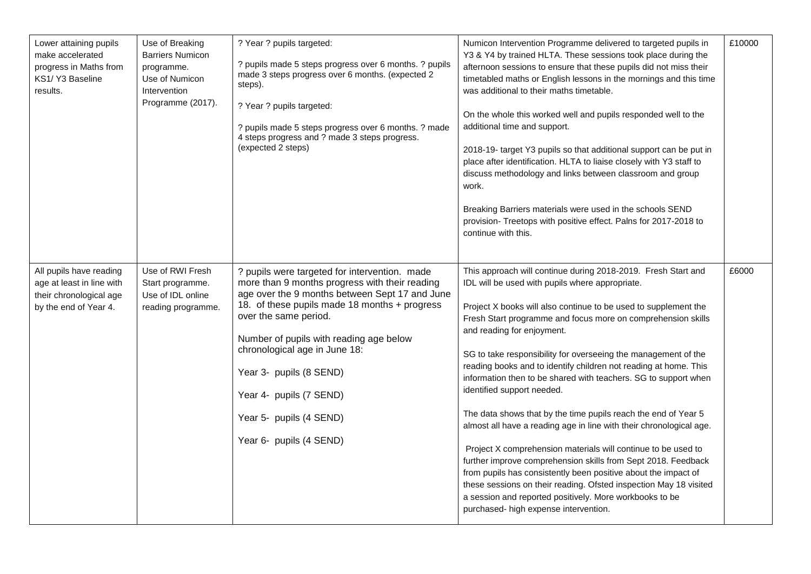| Lower attaining pupils<br>make accelerated<br>progress in Maths from<br>KS1/ Y3 Baseline<br>results.     | Use of Breaking<br><b>Barriers Numicon</b><br>programme.<br>Use of Numicon<br>Intervention<br>Programme (2017). | ? Year ? pupils targeted:<br>? pupils made 5 steps progress over 6 months. ? pupils<br>made 3 steps progress over 6 months. (expected 2<br>steps).<br>? Year ? pupils targeted:<br>? pupils made 5 steps progress over 6 months. ? made<br>4 steps progress and ? made 3 steps progress.<br>(expected 2 steps)                                                                                                      | Numicon Intervention Programme delivered to targeted pupils in<br>Y3 & Y4 by trained HLTA. These sessions took place during the<br>afternoon sessions to ensure that these pupils did not miss their<br>timetabled maths or English lessons in the mornings and this time<br>was additional to their maths timetable.<br>On the whole this worked well and pupils responded well to the<br>additional time and support.<br>2018-19- target Y3 pupils so that additional support can be put in<br>place after identification. HLTA to liaise closely with Y3 staff to<br>discuss methodology and links between classroom and group<br>work.<br>Breaking Barriers materials were used in the schools SEND<br>provision- Treetops with positive effect. Palns for 2017-2018 to<br>continue with this.                                                                                                                                                                                                                                             | £10000 |
|----------------------------------------------------------------------------------------------------------|-----------------------------------------------------------------------------------------------------------------|---------------------------------------------------------------------------------------------------------------------------------------------------------------------------------------------------------------------------------------------------------------------------------------------------------------------------------------------------------------------------------------------------------------------|------------------------------------------------------------------------------------------------------------------------------------------------------------------------------------------------------------------------------------------------------------------------------------------------------------------------------------------------------------------------------------------------------------------------------------------------------------------------------------------------------------------------------------------------------------------------------------------------------------------------------------------------------------------------------------------------------------------------------------------------------------------------------------------------------------------------------------------------------------------------------------------------------------------------------------------------------------------------------------------------------------------------------------------------|--------|
| All pupils have reading<br>age at least in line with<br>their chronological age<br>by the end of Year 4. | Use of RWI Fresh<br>Start programme.<br>Use of IDL online<br>reading programme.                                 | ? pupils were targeted for intervention. made<br>more than 9 months progress with their reading<br>age over the 9 months between Sept 17 and June<br>18. of these pupils made 18 months + progress<br>over the same period.<br>Number of pupils with reading age below<br>chronological age in June 18:<br>Year 3- pupils (8 SEND)<br>Year 4- pupils (7 SEND)<br>Year 5- pupils (4 SEND)<br>Year 6- pupils (4 SEND) | This approach will continue during 2018-2019. Fresh Start and<br>IDL will be used with pupils where appropriate.<br>Project X books will also continue to be used to supplement the<br>Fresh Start programme and focus more on comprehension skills<br>and reading for enjoyment.<br>SG to take responsibility for overseeing the management of the<br>reading books and to identify children not reading at home. This<br>information then to be shared with teachers. SG to support when<br>identified support needed.<br>The data shows that by the time pupils reach the end of Year 5<br>almost all have a reading age in line with their chronological age.<br>Project X comprehension materials will continue to be used to<br>further improve comprehension skills from Sept 2018. Feedback<br>from pupils has consistently been positive about the impact of<br>these sessions on their reading. Ofsted inspection May 18 visited<br>a session and reported positively. More workbooks to be<br>purchased- high expense intervention. | £6000  |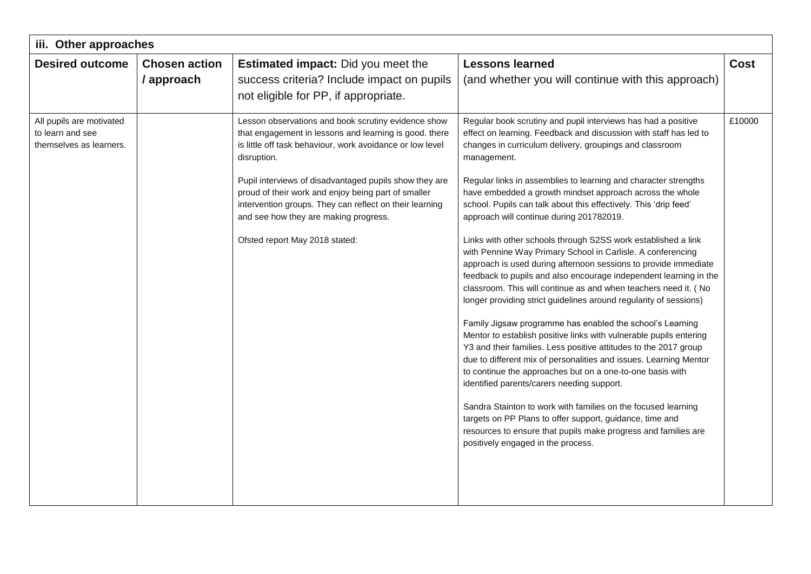| iii. Other approaches                                                   |                      |                                                                                                                                                                                                                   |                                                                                                                                                                                                                                                                                                                                                                                                               |             |  |  |  |
|-------------------------------------------------------------------------|----------------------|-------------------------------------------------------------------------------------------------------------------------------------------------------------------------------------------------------------------|---------------------------------------------------------------------------------------------------------------------------------------------------------------------------------------------------------------------------------------------------------------------------------------------------------------------------------------------------------------------------------------------------------------|-------------|--|--|--|
| <b>Desired outcome</b>                                                  | <b>Chosen action</b> | Estimated impact: Did you meet the                                                                                                                                                                                | <b>Lessons learned</b>                                                                                                                                                                                                                                                                                                                                                                                        | <b>Cost</b> |  |  |  |
|                                                                         | / approach           | success criteria? Include impact on pupils                                                                                                                                                                        | (and whether you will continue with this approach)                                                                                                                                                                                                                                                                                                                                                            |             |  |  |  |
|                                                                         |                      | not eligible for PP, if appropriate.                                                                                                                                                                              |                                                                                                                                                                                                                                                                                                                                                                                                               |             |  |  |  |
| All pupils are motivated<br>to learn and see<br>themselves as learners. |                      | Lesson observations and book scrutiny evidence show<br>that engagement in lessons and learning is good. there<br>is little off task behaviour, work avoidance or low level<br>disruption.                         | Regular book scrutiny and pupil interviews has had a positive<br>effect on learning. Feedback and discussion with staff has led to<br>changes in curriculum delivery, groupings and classroom<br>management.                                                                                                                                                                                                  | £10000      |  |  |  |
|                                                                         |                      | Pupil interviews of disadvantaged pupils show they are<br>proud of their work and enjoy being part of smaller<br>intervention groups. They can reflect on their learning<br>and see how they are making progress. | Regular links in assemblies to learning and character strengths<br>have embedded a growth mindset approach across the whole<br>school. Pupils can talk about this effectively. This 'drip feed'<br>approach will continue during 201782019.                                                                                                                                                                   |             |  |  |  |
|                                                                         |                      | Ofsted report May 2018 stated:                                                                                                                                                                                    | Links with other schools through S2SS work established a link<br>with Pennine Way Primary School in Carlisle. A conferencing<br>approach is used during afternoon sessions to provide immediate<br>feedback to pupils and also encourage independent learning in the<br>classroom. This will continue as and when teachers need it. ( No<br>longer providing strict guidelines around regularity of sessions) |             |  |  |  |
|                                                                         |                      |                                                                                                                                                                                                                   | Family Jigsaw programme has enabled the school's Learning<br>Mentor to establish positive links with vulnerable pupils entering<br>Y3 and their families. Less positive attitudes to the 2017 group<br>due to different mix of personalities and issues. Learning Mentor<br>to continue the approaches but on a one-to-one basis with<br>identified parents/carers needing support.                           |             |  |  |  |
|                                                                         |                      |                                                                                                                                                                                                                   | Sandra Stainton to work with families on the focused learning<br>targets on PP Plans to offer support, guidance, time and<br>resources to ensure that pupils make progress and families are<br>positively engaged in the process.                                                                                                                                                                             |             |  |  |  |